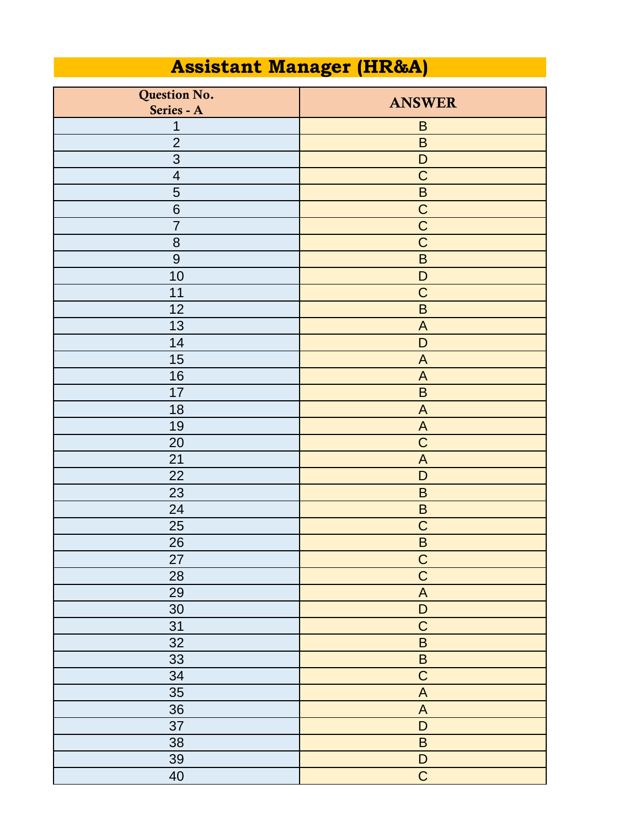## **Assistant Manager (HR&A)**

| Question No.<br>Series - A | <b>ANSWER</b>                                                                                          |
|----------------------------|--------------------------------------------------------------------------------------------------------|
| 1                          | $\sf B$                                                                                                |
| $\overline{2}$             | $\sf B$                                                                                                |
| 3                          | $\mathsf D$                                                                                            |
| $\overline{4}$             | $\mathsf C$                                                                                            |
| 5                          | $\sf B$                                                                                                |
| 6                          | $\mathbf C$                                                                                            |
| $\overline{7}$             | $\mathsf C$                                                                                            |
| 8                          | $\overline{C}$                                                                                         |
| 9                          | $\overline{B}$                                                                                         |
| 10                         | $\mathsf D$                                                                                            |
| 11                         | $\mathsf C$                                                                                            |
| 12                         | $\sf B$                                                                                                |
| 13                         | $\boldsymbol{\mathsf{A}}$                                                                              |
| 14                         | $\mathsf D$                                                                                            |
| 15                         | $\mathsf{A}$                                                                                           |
| 16                         | $\boldsymbol{\mathsf{A}}$                                                                              |
| 17                         | $\sf B$                                                                                                |
| 18                         | $\boldsymbol{\mathsf{A}}$                                                                              |
| 19                         | $\mathsf{A}$                                                                                           |
| 20                         | $\mathsf C$                                                                                            |
| 21                         | $\boldsymbol{\mathsf{A}}$                                                                              |
| 22                         | $\mathsf D$                                                                                            |
| 23                         | $\sf B$                                                                                                |
| 24                         | $\sf B$                                                                                                |
| 25                         | $\mathsf C$                                                                                            |
| 26                         | $\sf B$                                                                                                |
| 27                         |                                                                                                        |
| 28                         | $\frac{C}{C}$                                                                                          |
| 29                         | $\overline{A}$                                                                                         |
| 30                         | $\overline{D}$                                                                                         |
| 31                         | $\mathsf C$                                                                                            |
| 32                         | $\overline{\mathsf{B}}$                                                                                |
| 33                         | $\overline{B}$                                                                                         |
| 34                         | $\overline{C}$                                                                                         |
| 35                         | $\overline{A}$                                                                                         |
| 36                         | $\mathsf{A}% _{\mathsf{A}}^{\prime}=\mathsf{A}_{\mathsf{A}}^{\prime}=\mathsf{A}_{\mathsf{A}}^{\prime}$ |
| 37                         | $\mathsf D$                                                                                            |
| 38                         | $\sf B$                                                                                                |
| 39                         | $\mathsf D$                                                                                            |
| 40                         | $\overline{C}$                                                                                         |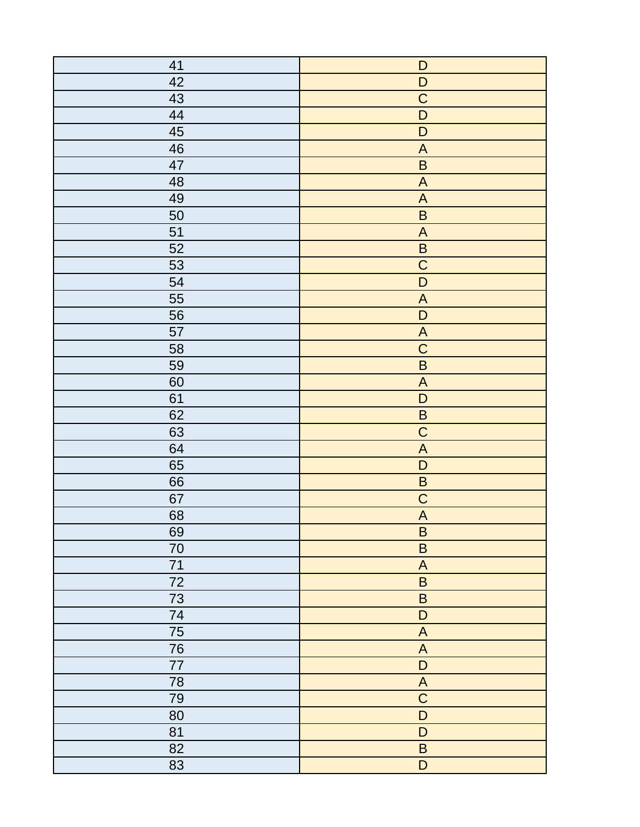| 41 | $\mathsf D$                                                       |
|----|-------------------------------------------------------------------|
| 42 | $\mathsf D$                                                       |
| 43 | $\overline{C}$                                                    |
| 44 | $\overline{D}$                                                    |
| 45 | $\mathsf D$                                                       |
| 46 | $\boldsymbol{\mathsf{A}}$                                         |
| 47 | $\sf B$                                                           |
| 48 | $\mathsf{A}% _{T}=\mathsf{A}_{T}\!\left( \mathsf{A}_{T}\right) ,$ |
| 49 | $\boldsymbol{\mathsf{A}}$                                         |
| 50 | $\sf B$                                                           |
| 51 | $\mathsf{A}% _{T}=\mathsf{A}_{T}\!\left( \mathsf{A}_{T}\right) ,$ |
| 52 | $\sf B$                                                           |
| 53 | $\overline{C}$                                                    |
| 54 | $\overline{D}$                                                    |
| 55 | $\boldsymbol{\mathsf{A}}$                                         |
| 56 | $\mathsf D$                                                       |
| 57 | $\boldsymbol{\mathsf{A}}$                                         |
| 58 | $\overline{C}$                                                    |
| 59 | $\overline{\mathsf{B}}$                                           |
| 60 | $\boldsymbol{\mathsf{A}}$                                         |
| 61 | $\overline{D}$                                                    |
| 62 | $\sf B$                                                           |
| 63 | $\overline{C}$                                                    |
| 64 | $\boldsymbol{\mathsf{A}}$                                         |
| 65 | $\mathsf D$                                                       |
| 66 | $\overline{\mathsf{B}}$                                           |
| 67 | $\overline{C}$                                                    |
| 68 | $\overline{A}$                                                    |
| 69 | $\sf B$                                                           |
| 70 | $\sf B$                                                           |
| 71 | $\boldsymbol{\mathsf{A}}$                                         |
| 72 | $\sf B$                                                           |
| 73 | $\sf B$                                                           |
| 74 | $\mathsf D$                                                       |
| 75 | $\boldsymbol{\mathsf{A}}$                                         |
| 76 | $\boldsymbol{\mathsf{A}}$                                         |
| 77 | $\overline{D}$                                                    |
| 78 | $\overline{A}$                                                    |
| 79 | $\overline{C}$                                                    |
| 80 | $\overline{D}$                                                    |
| 81 | $\mathsf D$                                                       |
| 82 | $\sf B$                                                           |
| 83 | $\overline{D}$                                                    |